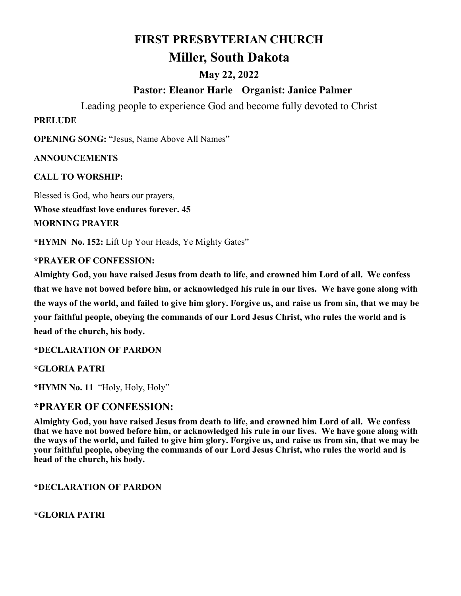# **FIRST PRESBYTERIAN CHURCH Miller, South Dakota**

## **May 22, 2022**

## **Pastor: Eleanor Harle Organist: Janice Palmer**

Leading people to experience God and become fully devoted to Christ

#### **PRELUDE**

**OPENING SONG:** "Jesus, Name Above All Names"

#### **ANNOUNCEMENTS**

**CALL TO WORSHIP:** 

Blessed is God, who hears our prayers, **Whose steadfast love endures forever. 45 MORNING PRAYER**

**\*HYMN No. 152:** Lift Up Your Heads, Ye Mighty Gates"

#### **\*PRAYER OF CONFESSION:**

**Almighty God, you have raised Jesus from death to life, and crowned him Lord of all. We confess that we have not bowed before him, or acknowledged his rule in our lives. We have gone along with the ways of the world, and failed to give him glory. Forgive us, and raise us from sin, that we may be your faithful people, obeying the commands of our Lord Jesus Christ, who rules the world and is head of the church, his body.** 

**\*DECLARATION OF PARDON**

**\*GLORIA PATRI**

**\*HYMN No. 11** "Holy, Holy, Holy"

### **\*PRAYER OF CONFESSION:**

**Almighty God, you have raised Jesus from death to life, and crowned him Lord of all. We confess that we have not bowed before him, or acknowledged his rule in our lives. We have gone along with the ways of the world, and failed to give him glory. Forgive us, and raise us from sin, that we may be your faithful people, obeying the commands of our Lord Jesus Christ, who rules the world and is head of the church, his body.** 

**\*DECLARATION OF PARDON**

**\*GLORIA PATRI**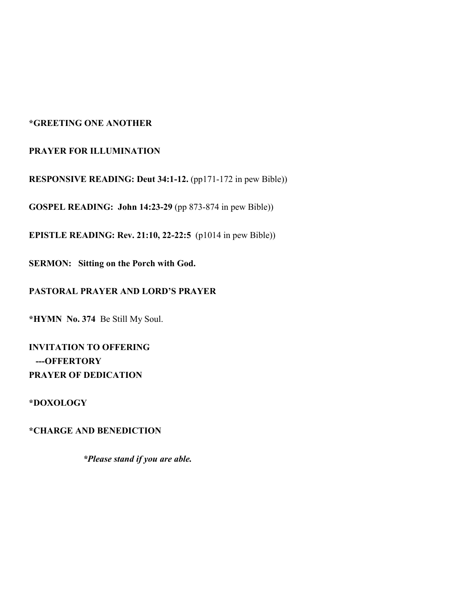#### **\*GREETING ONE ANOTHER**

#### **PRAYER FOR ILLUMINATION**

**RESPONSIVE READING: Deut 34:1-12.** (pp171-172 in pew Bible))

**GOSPEL READING: John 14:23-29** (pp 873-874 in pew Bible))

**EPISTLE READING: Rev. 21:10, 22-22:5** (p1014 in pew Bible))

**SERMON: Sitting on the Porch with God.**

#### **PASTORAL PRAYER AND LORD'S PRAYER**

**\*HYMN No. 374** Be Still My Soul.

**INVITATION TO OFFERING ---OFFERTORY PRAYER OF DEDICATION**

#### **\*DOXOLOGY**

**\*CHARGE AND BENEDICTION**

 *\*Please stand if you are able.*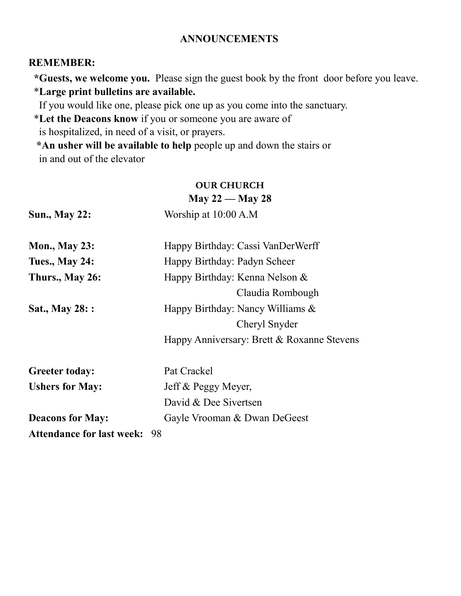## **ANNOUNCEMENTS**

## **REMEMBER:**

 **\*Guests, we welcome you.** Please sign the guest book by the front door before you leave. \***Large print bulletins are available.** 

If you would like one, please pick one up as you come into the sanctuary.

\***Let the Deacons know** if you or someone you are aware of

is hospitalized, in need of a visit, or prayers.

 **\*An usher will be available to help** people up and down the stairs or in and out of the elevator

#### **OUR CHURCH May 22 — May 28**

| <b>Sun., May 22:</b>             | Worship at 10:00 A.M                       |
|----------------------------------|--------------------------------------------|
| <b>Mon., May 23:</b>             | Happy Birthday: Cassi VanDerWerff          |
| <b>Tues., May 24:</b>            | Happy Birthday: Padyn Scheer               |
| Thurs., May 26:                  | Happy Birthday: Kenna Nelson &             |
|                                  | Claudia Rombough                           |
| Sat., May 28: :                  | Happy Birthday: Nancy Williams &           |
|                                  | Cheryl Snyder                              |
|                                  | Happy Anniversary: Brett & Roxanne Stevens |
| <b>Greeter today:</b>            | Pat Crackel                                |
| <b>Ushers for May:</b>           | Jeff & Peggy Meyer,                        |
|                                  | David & Dee Sivertsen                      |
| <b>Deacons for May:</b>          | Gayle Vrooman & Dwan DeGeest               |
| <b>Attendance for last week:</b> | 98                                         |